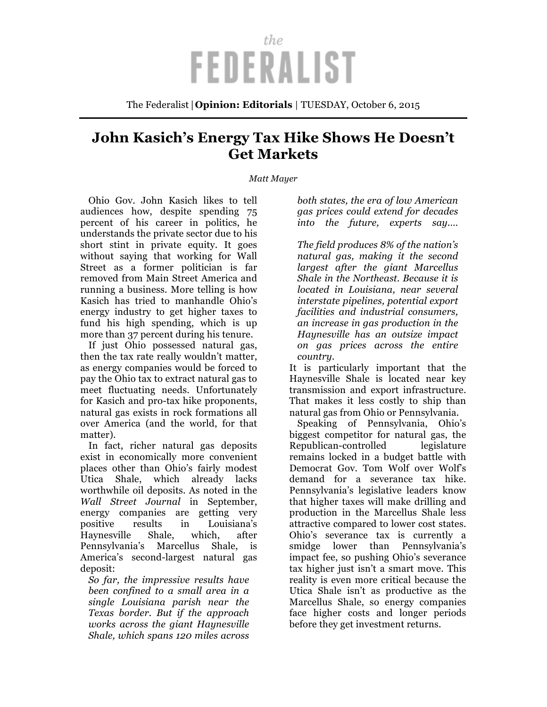## the **FEDERALIST**

The Federalist | **Opinion: Editorials** | TUESDAY, October 6, 2015

## **John Kasich's Energy Tax Hike Shows He Doesn't Get Markets**

## *Matt Mayer*

Ohio Gov. John Kasich likes to tell audiences how, despite spending 75 percent of his career in politics, he understands the private sector due to his short stint in private equity. It goes without saying that working for Wall Street as a former politician is far removed from Main Street America and running a business. More telling is how Kasich has tried to manhandle Ohio's energy industry to get higher taxes to fund his high spending, which is up more than 37 percent during his tenure.

If just Ohio possessed natural gas, then the tax rate really wouldn't matter, as energy companies would be forced to pay the Ohio tax to extract natural gas to meet fluctuating needs. Unfortunately for Kasich and pro-tax hike proponents, natural gas exists in rock formations all over America (and the world, for that matter).

In fact, richer natural gas deposits exist in economically more convenient places other than Ohio's fairly modest Utica Shale, which already lacks worthwhile oil deposits. As noted in the *Wall Street Journal* in September, energy companies are getting very positive results in Louisiana's Haynesville Shale, which, after Pennsylvania's Marcellus Shale, is America's second-largest natural gas deposit:

*So far, the impressive results have been confined to a small area in a single Louisiana parish near the Texas border. But if the approach works across the giant Haynesville Shale, which spans 120 miles across*

*both states, the era of low American gas prices could extend for decades into the future, experts say.…*

*The field produces 8% of the nation's natural gas, making it the second largest after the giant Marcellus Shale in the Northeast. Because it is located in Louisiana, near several interstate pipelines, potential export facilities and industrial consumers, an increase in gas production in the Haynesville has an outsize impact on gas prices across the entire country.*

It is particularly important that the Haynesville Shale is located near key transmission and export infrastructure. That makes it less costly to ship than natural gas from Ohio or Pennsylvania.

Speaking of Pennsylvania, Ohio's biggest competitor for natural gas, the Republican-controlled legislature remains locked in a budget battle with Democrat Gov. Tom Wolf over Wolf's demand for a severance tax hike. Pennsylvania's legislative leaders know that higher taxes will make drilling and production in the Marcellus Shale less attractive compared to lower cost states. Ohio's severance tax is currently a smidge lower than Pennsylvania's impact fee, so pushing Ohio's severance tax higher just isn't a smart move. This reality is even more critical because the Utica Shale isn't as productive as the Marcellus Shale, so energy companies face higher costs and longer periods before they get investment returns.